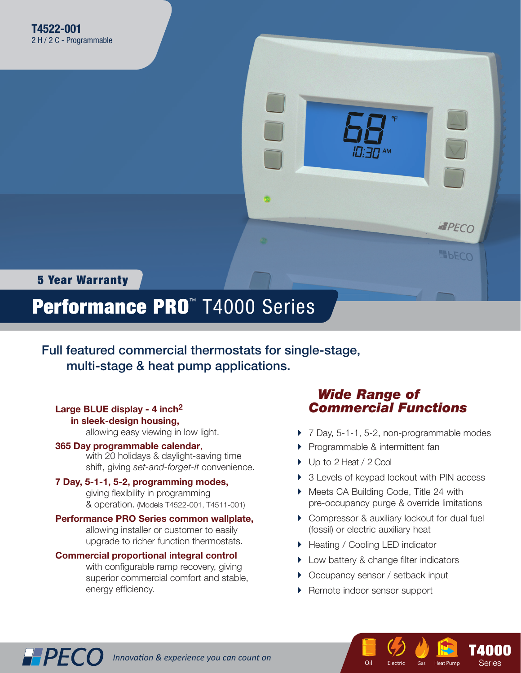

5 Year Warranty

**HPECO** 

# Performance PRO™ T4000 Series

Full featured commercial thermostats for single-stage, multi-stage & heat pump applications.

#### **Large BLUE display - 4 inch2 in sleek-design housing,**

allowing easy viewing in low light.

#### **365 Day programmable calendar**,

 with 20 holidays & daylight-saving time shift, giving *set-and-forget-it* convenience.

#### **7 Day, 5-1-1, 5-2, programming modes,**

giving flexibility in programming & operation. (Models T4522-001, T4511-001)

#### **Performance PRO Series common wallplate,**

 allowing installer or customer to easily upgrade to richer function thermostats.

#### **Commercial proportional integral control**

with configurable ramp recovery, giving superior commercial comfort and stable, energy efficiency.

## *Wide Range of Commercial Functions*

- ▶ 7 Day, 5-1-1, 5-2, non-programmable modes
- **Programmable & intermittent fan**
- ▶ Up to 2 Heat / 2 Cool
- ▶ 3 Levels of keypad lockout with PIN access
- ▶ Meets CA Building Code, Title 24 with pre-occupancy purge & override limitations
- ▶ Compressor & auxiliary lockout for dual fuel (fossil) or electric auxiliary heat

**T**  $E$ lectric Gas

Oil Electric Gas Heat Pump

**T4000** Series Series

- ▶ Heating / Cooling LED indicator
- **Low battery & change filter indicators**
- ▶ Occupancy sensor / setback input
- ▶ Remote indoor sensor support